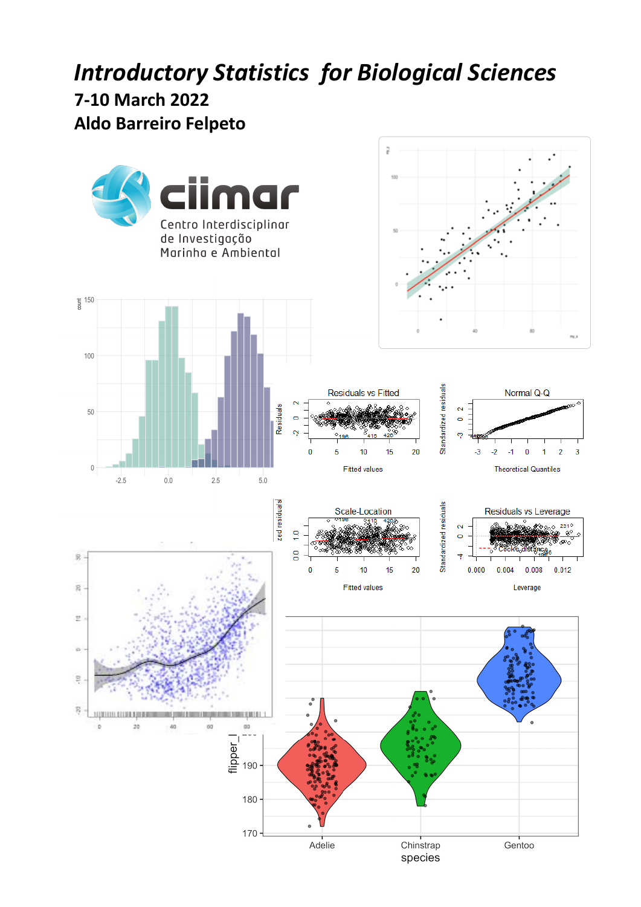# *Introductory Statistics for Biological Sciences*

# **7-10 March 2022**

# **Aldo Barreiro Felpeto**

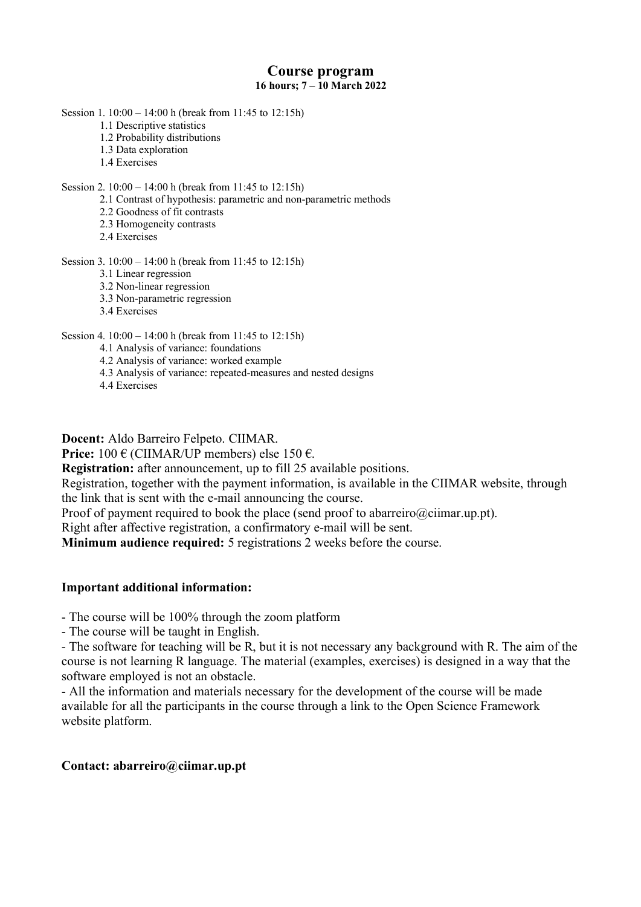### **Course program 16 hours; 7 – 10 March 2022**

Session 1. 10:00 – 14:00 h (break from 11:45 to 12:15h)

- 1.1 Descriptive statistics
- 1.2 Probability distributions
- 1.3 Data exploration
- 1.4 Exercises

#### Session 2. 10:00 – 14:00 h (break from 11:45 to 12:15h)

- 2.1 Contrast of hypothesis: parametric and non-parametric methods
- 2.2 Goodness of fit contrasts
- 2.3 Homogeneity contrasts
- 2.4 Exercises

#### Session 3. 10:00 – 14:00 h (break from 11:45 to 12:15h)

- 3.1 Linear regression
- 3.2 Non-linear regression
- 3.3 Non-parametric regression
- 3.4 Exercises

#### Session 4. 10:00 – 14:00 h (break from 11:45 to 12:15h)

- 4.1 Analysis of variance: foundations
- 4.2 Analysis of variance: worked example
- 4.3 Analysis of variance: repeated-measures and nested designs
- 4.4 Exercises

**Docent:** Aldo Barreiro Felpeto. CIIMAR.

**Price:** 100 € (CIIMAR/UP members) else 150 €.

**Registration:** after announcement, up to fill 25 available positions.

Registration, together with the payment information, is available in the CIIMAR website, through the link that is sent with the e-mail announcing the course.

Proof of payment required to book the place (send proof to abarreiro@ciimar.up.pt).

Right after affective registration, a confirmatory e-mail will be sent.

**Minimum audience required:** 5 registrations 2 weeks before the course.

#### **Important additional information:**

- The course will be 100% through the zoom platform

- The course will be taught in English.

- The software for teaching will be R, but it is not necessary any background with R. The aim of the course is not learning R language. The material (examples, exercises) is designed in a way that the software employed is not an obstacle.

- All the information and materials necessary for the development of the course will be made available for all the participants in the course through a link to the Open Science Framework website platform.

#### **Contact: abarreiro@ciimar.up.pt**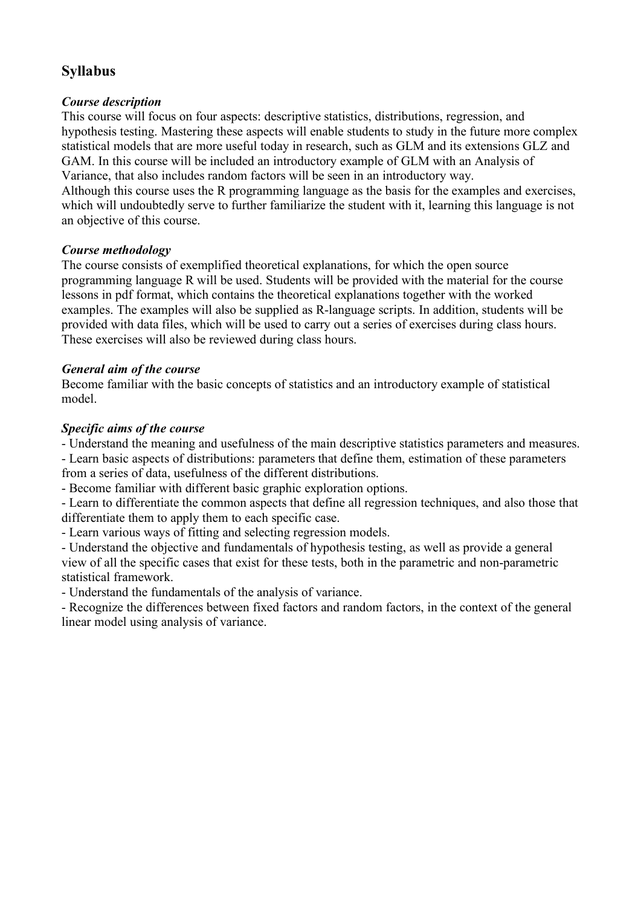# **Syllabus**

# *Course description*

This course will focus on four aspects: descriptive statistics, distributions, regression, and hypothesis testing. Mastering these aspects will enable students to study in the future more complex statistical models that are more useful today in research, such as GLM and its extensions GLZ and GAM. In this course will be included an introductory example of GLM with an Analysis of Variance, that also includes random factors will be seen in an introductory way. Although this course uses the R programming language as the basis for the examples and exercises, which will undoubtedly serve to further familiarize the student with it, learning this language is not

an objective of this course.

# *Course methodology*

The course consists of exemplified theoretical explanations, for which the open source programming language R will be used. Students will be provided with the material for the course lessons in pdf format, which contains the theoretical explanations together with the worked examples. The examples will also be supplied as R-language scripts. In addition, students will be provided with data files, which will be used to carry out a series of exercises during class hours. These exercises will also be reviewed during class hours.

# *General aim of the course*

Become familiar with the basic concepts of statistics and an introductory example of statistical model.

# *Specific aims of the course*

- Understand the meaning and usefulness of the main descriptive statistics parameters and measures.

- Learn basic aspects of distributions: parameters that define them, estimation of these parameters from a series of data, usefulness of the different distributions.

- Become familiar with different basic graphic exploration options.

- Learn to differentiate the common aspects that define all regression techniques, and also those that differentiate them to apply them to each specific case.

- Learn various ways of fitting and selecting regression models.

- Understand the objective and fundamentals of hypothesis testing, as well as provide a general view of all the specific cases that exist for these tests, both in the parametric and non-parametric statistical framework.

- Understand the fundamentals of the analysis of variance.

- Recognize the differences between fixed factors and random factors, in the context of the general linear model using analysis of variance.